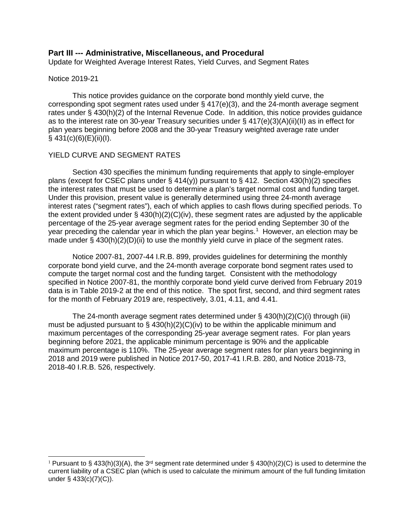### **Part III --- Administrative, Miscellaneous, and Procedural**

Update for Weighted Average Interest Rates, Yield Curves, and Segment Rates

#### Notice 2019-21

This notice provides guidance on the corporate bond monthly yield curve, the corresponding spot segment rates used under  $\S$  417(e)(3), and the 24-month average segment rates under § 430(h)(2) of the Internal Revenue Code. In addition, this notice provides guidance as to the interest rate on 30-year Treasury securities under § 417(e)(3)(A)(ii)(II) as in effect for plan years beginning before 2008 and the 30-year Treasury weighted average rate under  $§$  431(c)(6)(E)(ii)(I).

#### YIELD CURVE AND SEGMENT RATES

Section 430 specifies the minimum funding requirements that apply to single-employer plans (except for CSEC plans under § 414(y)) pursuant to § 412. Section 430(h)(2) specifies the interest rates that must be used to determine a plan's target normal cost and funding target. Under this provision, present value is generally determined using three 24-month average interest rates ("segment rates"), each of which applies to cash flows during specified periods. To the extent provided under  $\S$  430(h)(2)(C)(iv), these segment rates are adjusted by the applicable percentage of the 25-year average segment rates for the period ending September 30 of the year preceding the calendar year in which the plan year begins.<sup>[1](#page-0-0)</sup> However, an election may be made under § 430(h)(2)(D)(ii) to use the monthly yield curve in place of the segment rates.

Notice 2007-81, 2007-44 I.R.B. 899, provides guidelines for determining the monthly corporate bond yield curve, and the 24-month average corporate bond segment rates used to compute the target normal cost and the funding target. Consistent with the methodology specified in Notice 2007-81, the monthly corporate bond yield curve derived from February 2019 data is in Table 2019-2 at the end of this notice. The spot first, second, and third segment rates for the month of February 2019 are, respectively, 3.01, 4.11, and 4.41.

The 24-month average segment rates determined under § 430(h)(2)(C)(i) through (iii) must be adjusted pursuant to  $\S$  430(h)(2)(C)(iv) to be within the applicable minimum and maximum percentages of the corresponding 25-year average segment rates. For plan years beginning before 2021, the applicable minimum percentage is 90% and the applicable maximum percentage is 110%. The 25-year average segment rates for plan years beginning in 2018 and 2019 were published in Notice 2017-50, 2017-41 I.R.B. 280, and Notice 2018-73, 2018-40 I.R.B. 526, respectively.

<span id="page-0-0"></span><sup>&</sup>lt;sup>1</sup> Pursuant to § 433(h)(3)(A), the 3<sup>rd</sup> segment rate determined under § 430(h)(2)(C) is used to determine the current liability of a CSEC plan (which is used to calculate the minimum amount of the full funding limitation under § 433(c)(7)(C)).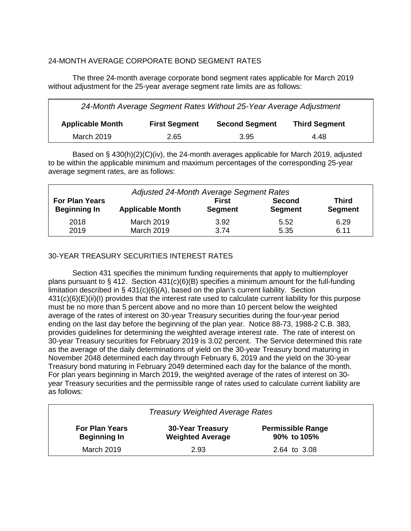## 24-MONTH AVERAGE CORPORATE BOND SEGMENT RATES

The three 24-month average corporate bond segment rates applicable for March 2019 without adjustment for the 25-year average segment rate limits are as follows:

| 24-Month Average Segment Rates Without 25-Year Average Adjustment |                      |                       |                      |  |  |  |  |  |  |
|-------------------------------------------------------------------|----------------------|-----------------------|----------------------|--|--|--|--|--|--|
| <b>Applicable Month</b>                                           | <b>First Segment</b> | <b>Second Segment</b> | <b>Third Segment</b> |  |  |  |  |  |  |
| <b>March 2019</b>                                                 | 2.65                 | 3.95                  | 4.48                 |  |  |  |  |  |  |

Based on § 430(h)(2)(C)(iv), the 24-month averages applicable for March 2019, adjusted to be within the applicable minimum and maximum percentages of the corresponding 25-year average segment rates, are as follows:

| Adjusted 24-Month Average Segment Rates |                         |                |                |                |  |  |  |  |  |
|-----------------------------------------|-------------------------|----------------|----------------|----------------|--|--|--|--|--|
| <b>For Plan Years</b>                   | <b>Applicable Month</b> | <b>First</b>   | <b>Second</b>  | <b>Third</b>   |  |  |  |  |  |
| <b>Beginning In</b>                     |                         | <b>Segment</b> | <b>Segment</b> | <b>Segment</b> |  |  |  |  |  |
| 2018                                    | <b>March 2019</b>       | 3.92           | 5.52           | 6.29           |  |  |  |  |  |
| 2019                                    | <b>March 2019</b>       | 3.74           | 5.35           | 6.11           |  |  |  |  |  |

## 30-YEAR TREASURY SECURITIES INTEREST RATES

Section 431 specifies the minimum funding requirements that apply to multiemployer plans pursuant to § 412. Section  $431(c)(6)(B)$  specifies a minimum amount for the full-funding limitation described in  $\S$  431(c)(6)(A), based on the plan's current liability. Section 431(c)(6)(E)(ii)(I) provides that the interest rate used to calculate current liability for this purpose must be no more than 5 percent above and no more than 10 percent below the weighted average of the rates of interest on 30-year Treasury securities during the four-year period ending on the last day before the beginning of the plan year. Notice 88-73, 1988-2 C.B. 383, provides guidelines for determining the weighted average interest rate. The rate of interest on 30-year Treasury securities for February 2019 is 3.02 percent. The Service determined this rate as the average of the daily determinations of yield on the 30-year Treasury bond maturing in November 2048 determined each day through February 6, 2019 and the yield on the 30-year Treasury bond maturing in February 2049 determined each day for the balance of the month. For plan years beginning in March 2019, the weighted average of the rates of interest on 30 year Treasury securities and the permissible range of rates used to calculate current liability are as follows:

| <b>Treasury Weighted Average Rates</b>                                                                                                        |      |              |  |  |  |  |  |  |  |
|-----------------------------------------------------------------------------------------------------------------------------------------------|------|--------------|--|--|--|--|--|--|--|
| <b>Permissible Range</b><br><b>For Plan Years</b><br><b>30-Year Treasury</b><br><b>Weighted Average</b><br><b>Beginning In</b><br>90% to 105% |      |              |  |  |  |  |  |  |  |
| March 2019                                                                                                                                    | 2.93 | 2.64 to 3.08 |  |  |  |  |  |  |  |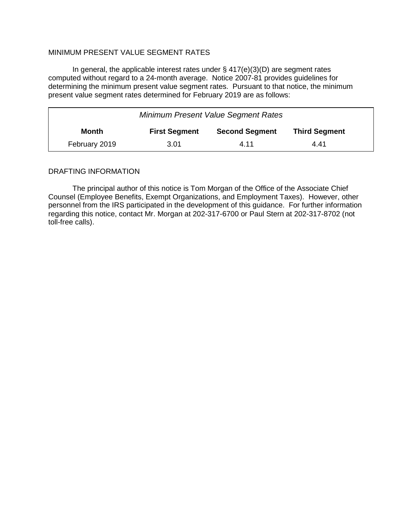### MINIMUM PRESENT VALUE SEGMENT RATES

In general, the applicable interest rates under  $\S$  417(e)(3)(D) are segment rates computed without regard to a 24-month average. Notice 2007-81 provides guidelines for determining the minimum present value segment rates. Pursuant to that notice, the minimum present value segment rates determined for February 2019 are as follows:

| <b>Minimum Present Value Segment Rates</b>                                     |      |      |      |  |  |  |  |  |  |
|--------------------------------------------------------------------------------|------|------|------|--|--|--|--|--|--|
| <b>First Segment</b><br><b>Second Segment</b><br><b>Third Segment</b><br>Month |      |      |      |  |  |  |  |  |  |
| February 2019                                                                  | 3.01 | 4.11 | 4.41 |  |  |  |  |  |  |

### DRAFTING INFORMATION

The principal author of this notice is Tom Morgan of the Office of the Associate Chief Counsel (Employee Benefits, Exempt Organizations, and Employment Taxes). However, other personnel from the IRS participated in the development of this guidance. For further information regarding this notice, contact Mr. Morgan at 202-317-6700 or Paul Stern at 202-317-8702 (not toll-free calls).